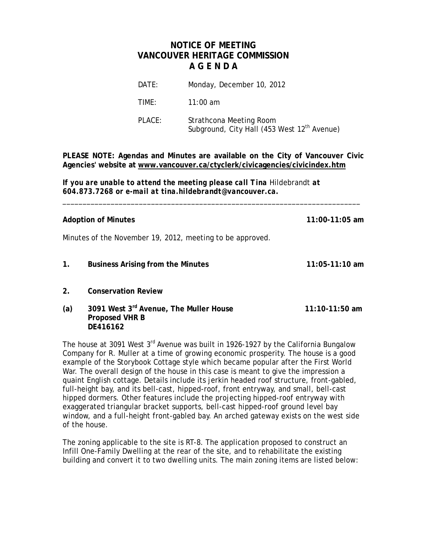# **NOTICE OF MEETING VANCOUVER HERITAGE COMMISSION A G E N D A**

| DATE:  | Monday, December 10, 2012                                                          |
|--------|------------------------------------------------------------------------------------|
| TIME:  | $11:00$ am                                                                         |
| PLACE: | Strathcona Meeting Room<br>Subground, City Hall (453 West 12 <sup>th</sup> Avenue) |

**PLEASE NOTE: Agendas and Minutes are available on the City of Vancouver Civic Agencies' website at www.vancouver.ca/ctyclerk/civicagencies/civicindex.htm**

\_\_\_\_\_\_\_\_\_\_\_\_\_\_\_\_\_\_\_\_\_\_\_\_\_\_\_\_\_\_\_\_\_\_\_\_\_\_\_\_\_\_\_\_\_\_\_\_\_\_\_\_\_\_\_\_\_\_\_\_\_\_\_\_\_\_\_\_\_\_\_\_\_\_

*If you are unable to attend the meeting please call Tina* Hildebrandt *at 604.873.7268 or e-mail at tina.hildebrandt@vancouver.ca.*

#### **Adoption of Minutes 11:00-11:05 am**

Minutes of the November 19, 2012, meeting to be approved.

- **1. Business Arising from the Minutes 11:05-11:10 am**
- **2. Conservation Review**
- **(a) 3091 West 3rd Avenue, The Muller House 11:10-11:50 am Proposed VHR B DE416162**

The house at 3091 West  $3^{rd}$  Avenue was built in 1926-1927 by the California Bungalow Company for R. Muller at a time of growing economic prosperity. The house is a good example of the Storybook Cottage style which became popular after the First World War. The overall design of the house in this case is meant to give the impression a quaint English cottage. Details include its jerkin headed roof structure, front-gabled, full-height bay, and its bell-cast, hipped-roof, front entryway, and small, bell-cast hipped dormers. Other features include the projecting hipped-roof entryway with exaggerated triangular bracket supports, bell-cast hipped-roof ground level bay window, and a full-height front-gabled bay. An arched gateway exists on the west side of the house.

The zoning applicable to the site is RT-8. The application proposed to construct an Infill One-Family Dwelling at the rear of the site, and to rehabilitate the existing building and convert it to two dwelling units. The main zoning items are listed below: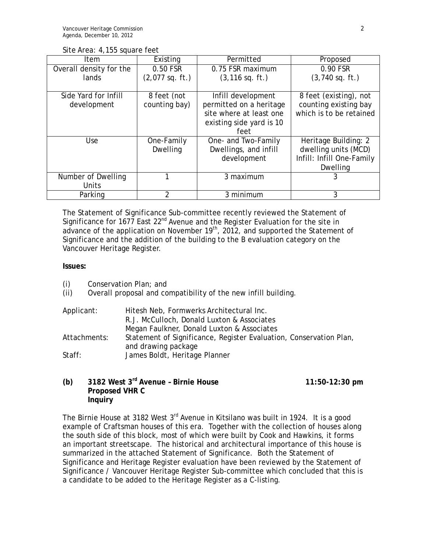|  | Site Area: 4,155 square feet |  |
|--|------------------------------|--|
|  |                              |  |

| Item                    | Existing          | Permitted<br>Proposed    |                           |
|-------------------------|-------------------|--------------------------|---------------------------|
| Overall density for the | 0.50 FSR          | 0.75 FSR maximum         | 0.90 FSR                  |
| lands                   | $(2,077$ sq. ft.) | $(3, 116$ sq. ft.)       | $(3,740 \text{ sq. ft.})$ |
|                         |                   |                          |                           |
| Side Yard for Infill    | 8 feet (not       | Infill development       | 8 feet (existing), not    |
| development             | counting bay)     | permitted on a heritage  | counting existing bay     |
|                         |                   | site where at least one  | which is to be retained   |
|                         |                   | existing side yard is 10 |                           |
|                         |                   | feet                     |                           |
| Use                     | One-Family        | One- and Two-Family      | Heritage Building: 2      |
|                         | Dwelling          | Dwellings, and infill    | dwelling units (MCD)      |
|                         |                   | development              | Infill: Infill One-Family |
|                         |                   |                          | Dwelling                  |
| Number of Dwelling      |                   | 3 maximum                |                           |
| Units                   |                   |                          |                           |
| Parking                 |                   | 3 minimum                | 3                         |

The Statement of Significance Sub-committee recently reviewed the Statement of Significance for  $1677$  East  $22^{nd}$  Avenue and the Register Evaluation for the site in advance of the application on November  $19<sup>th</sup>$ , 2012, and supported the Statement of Significance and the addition of the building to the B evaluation category on the Vancouver Heritage Register.

#### **Issues:**

(i) Conservation Plan; and

(ii) Overall proposal and compatibility of the new infill building.

| Applicant:   | Hitesh Neb, Formwerks Architectural Inc.                                                  |
|--------------|-------------------------------------------------------------------------------------------|
|              | R.J. McCulloch, Donald Luxton & Associates                                                |
|              | Megan Faulkner, Donald Luxton & Associates                                                |
| Attachments: | Statement of Significance, Register Evaluation, Conservation Plan,<br>and drawing package |
| Staff:       | James Boldt, Heritage Planner                                                             |

# **(b) 3182 West 3rd Avenue – Birnie House 11:50-12:30 pm Proposed VHR C Inquiry**

The Birnie House at 3182 West 3<sup>rd</sup> Avenue in Kitsilano was built in 1924. It is a good example of Craftsman houses of this era. Together with the collection of houses along the south side of this block, most of which were built by Cook and Hawkins, it forms an important streetscape. The historical and architectural importance of this house is summarized in the attached Statement of Significance. Both the Statement of Significance and Heritage Register evaluation have been reviewed by the Statement of Significance / Vancouver Heritage Register Sub-committee which concluded that this is a candidate to be added to the Heritage Register as a C-listing.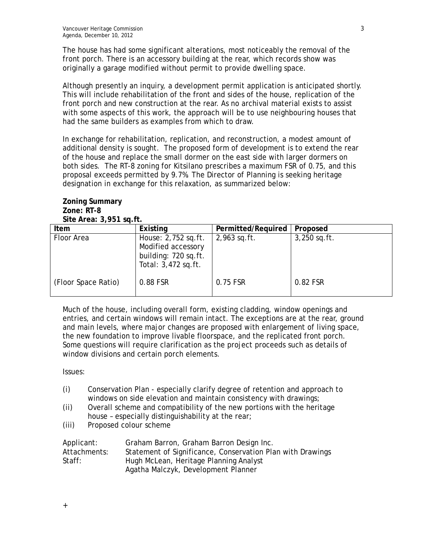The house has had some significant alterations, most noticeably the removal of the front porch. There is an accessory building at the rear, which records show was originally a garage modified without permit to provide dwelling space.

Although presently an inquiry, a development permit application is anticipated shortly. This will include rehabilitation of the front and sides of the house, replication of the front porch and new construction at the rear. As no archival material exists to assist with some aspects of this work, the approach will be to use neighbouring houses that had the same builders as examples from which to draw.

In exchange for rehabilitation, replication, and reconstruction, a modest amount of additional density is sought. The proposed form of development is to extend the rear of the house and replace the small dormer on the east side with larger dormers on both sides. The RT-8 zoning for Kitsilano prescribes a maximum FSR of 0.75, and this proposal exceeds permitted by 9.7%. The Director of Planning is seeking heritage designation in exchange for this relaxation, as summarized below:

#### **Zoning Summary Zone: RT-8 Site Area: 3,951 sq.ft.**

| Item                | Existing                                                                                 | Permitted/Required | Proposed       |
|---------------------|------------------------------------------------------------------------------------------|--------------------|----------------|
| Floor Area          | House: 2,752 sq.ft.<br>Modified accessory<br>building: 720 sq.ft.<br>Total: 3,472 sq.ft. | $2,963$ sq.ft.     | $3,250$ sq.ft. |
| (Floor Space Ratio) | 0.88 FSR                                                                                 | 0.75 FSR           | 0.82 FSR       |

Much of the house, including overall form, existing cladding, window openings and entries, and certain windows will remain intact. The exceptions are at the rear, ground and main levels, where major changes are proposed with enlargement of living space, the new foundation to improve livable floorspace, and the replicated front porch. Some questions will require clarification as the project proceeds such as details of window divisions and certain porch elements.

Issues:

- (i) Conservation Plan especially clarify degree of retention and approach to windows on side elevation and maintain consistency with drawings;
- (ii) Overall scheme and compatibility of the new portions with the heritage house – especially distinguishability at the rear;
- (iii) Proposed colour scheme

| Applicant:   | Graham Barron, Graham Barron Design Inc.                   |
|--------------|------------------------------------------------------------|
| Attachments: | Statement of Significance, Conservation Plan with Drawings |
| Staff:       | Hugh McLean, Heritage Planning Analyst                     |
|              | Agatha Malczyk, Development Planner                        |